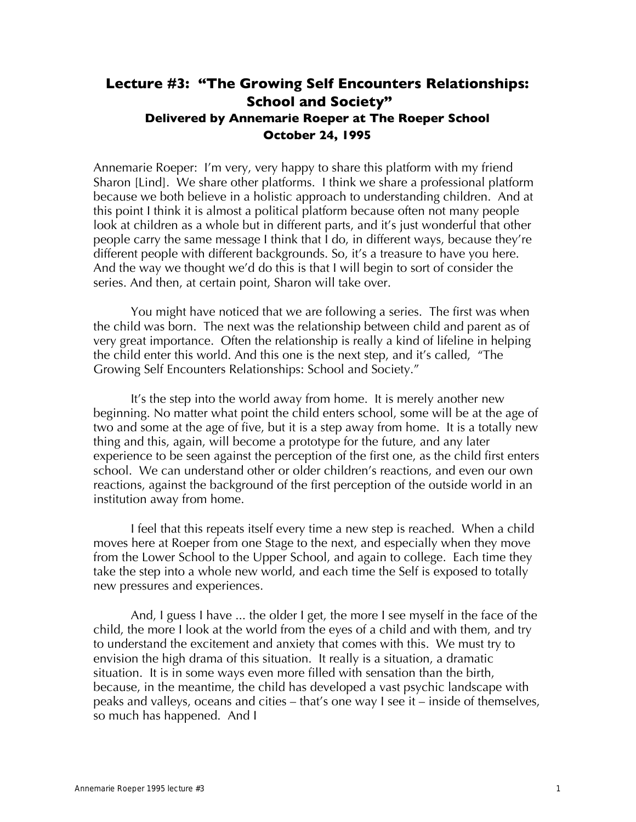# **Lecture #3: "The Growing Self Encounters Relationships: School and Society" Delivered by Annemarie Roeper at The Roeper School October 24, 1995**

Annemarie Roeper: I'm very, very happy to share this platform with my friend Sharon [Lind]. We share other platforms. I think we share a professional platform because we both believe in a holistic approach to understanding children. And at this point I think it is almost a political platform because often not many people look at children as a whole but in different parts, and it's just wonderful that other people carry the same message I think that I do, in different ways, because they're different people with different backgrounds. So, it's a treasure to have you here. And the way we thought we'd do this is that I will begin to sort of consider the series. And then, at certain point, Sharon will take over.

You might have noticed that we are following a series. The first was when the child was born. The next was the relationship between child and parent as of very great importance. Often the relationship is really a kind of lifeline in helping the child enter this world. And this one is the next step, and it's called, "The Growing Self Encounters Relationships: School and Society."

It's the step into the world away from home. It is merely another new beginning. No matter what point the child enters school, some will be at the age of two and some at the age of five, but it is a step away from home. It is a totally new thing and this, again, will become a prototype for the future, and any later experience to be seen against the perception of the first one, as the child first enters school. We can understand other or older children's reactions, and even our own reactions, against the background of the first perception of the outside world in an institution away from home.

I feel that this repeats itself every time a new step is reached. When a child moves here at Roeper from one Stage to the next, and especially when they move from the Lower School to the Upper School, and again to college. Each time they take the step into a whole new world, and each time the Self is exposed to totally new pressures and experiences.

And, I guess I have ... the older I get, the more I see myself in the face of the child, the more I look at the world from the eyes of a child and with them, and try to understand the excitement and anxiety that comes with this. We must try to envision the high drama of this situation. It really is a situation, a dramatic situation. It is in some ways even more filled with sensation than the birth, because, in the meantime, the child has developed a vast psychic landscape with peaks and valleys, oceans and cities – that's one way I see it – inside of themselves, so much has happened. And I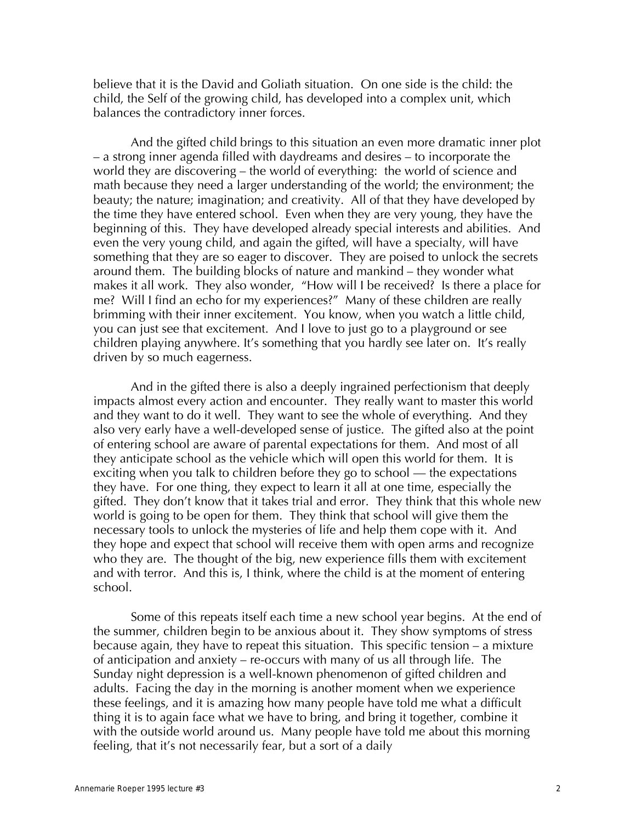believe that it is the David and Goliath situation. On one side is the child: the child, the Self of the growing child, has developed into a complex unit, which balances the contradictory inner forces.

And the gifted child brings to this situation an even more dramatic inner plot – a strong inner agenda filled with daydreams and desires – to incorporate the world they are discovering – the world of everything: the world of science and math because they need a larger understanding of the world; the environment; the beauty; the nature; imagination; and creativity. All of that they have developed by the time they have entered school. Even when they are very young, they have the beginning of this. They have developed already special interests and abilities. And even the very young child, and again the gifted, will have a specialty, will have something that they are so eager to discover. They are poised to unlock the secrets around them. The building blocks of nature and mankind – they wonder what makes it all work. They also wonder, "How will I be received? Is there a place for me? Will I find an echo for my experiences?" Many of these children are really brimming with their inner excitement. You know, when you watch a little child, you can just see that excitement. And I love to just go to a playground or see children playing anywhere. It's something that you hardly see later on. It's really driven by so much eagerness.

And in the gifted there is also a deeply ingrained perfectionism that deeply impacts almost every action and encounter. They really want to master this world and they want to do it well. They want to see the whole of everything. And they also very early have a well-developed sense of justice. The gifted also at the point of entering school are aware of parental expectations for them. And most of all they anticipate school as the vehicle which will open this world for them. It is exciting when you talk to children before they go to school — the expectations they have. For one thing, they expect to learn it all at one time, especially the gifted. They don't know that it takes trial and error. They think that this whole new world is going to be open for them. They think that school will give them the necessary tools to unlock the mysteries of life and help them cope with it. And they hope and expect that school will receive them with open arms and recognize who they are. The thought of the big, new experience fills them with excitement and with terror. And this is, I think, where the child is at the moment of entering school.

Some of this repeats itself each time a new school year begins. At the end of the summer, children begin to be anxious about it. They show symptoms of stress because again, they have to repeat this situation. This specific tension – a mixture of anticipation and anxiety – re-occurs with many of us all through life. The Sunday night depression is a well-known phenomenon of gifted children and adults. Facing the day in the morning is another moment when we experience these feelings, and it is amazing how many people have told me what a difficult thing it is to again face what we have to bring, and bring it together, combine it with the outside world around us. Many people have told me about this morning feeling, that it's not necessarily fear, but a sort of a daily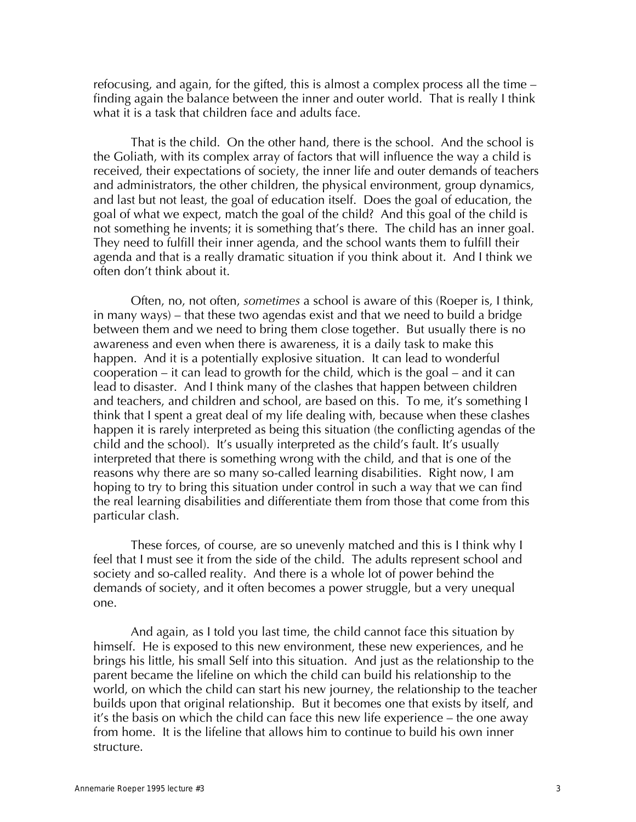refocusing, and again, for the gifted, this is almost a complex process all the time – finding again the balance between the inner and outer world. That is really I think what it is a task that children face and adults face.

That is the child. On the other hand, there is the school. And the school is the Goliath, with its complex array of factors that will influence the way a child is received, their expectations of society, the inner life and outer demands of teachers and administrators, the other children, the physical environment, group dynamics, and last but not least, the goal of education itself. Does the goal of education, the goal of what we expect, match the goal of the child? And this goal of the child is not something he invents; it is something that's there. The child has an inner goal. They need to fulfill their inner agenda, and the school wants them to fulfill their agenda and that is a really dramatic situation if you think about it. And I think we often don't think about it.

Often, no, not often, *sometimes* a school is aware of this (Roeper is, I think, in many ways) – that these two agendas exist and that we need to build a bridge between them and we need to bring them close together. But usually there is no awareness and even when there is awareness, it is a daily task to make this happen. And it is a potentially explosive situation. It can lead to wonderful cooperation – it can lead to growth for the child, which is the goal – and it can lead to disaster. And I think many of the clashes that happen between children and teachers, and children and school, are based on this. To me, it's something I think that I spent a great deal of my life dealing with, because when these clashes happen it is rarely interpreted as being this situation (the conflicting agendas of the child and the school). It's usually interpreted as the child's fault. It's usually interpreted that there is something wrong with the child, and that is one of the reasons why there are so many so-called learning disabilities. Right now, I am hoping to try to bring this situation under control in such a way that we can find the real learning disabilities and differentiate them from those that come from this particular clash.

These forces, of course, are so unevenly matched and this is I think why I feel that I must see it from the side of the child. The adults represent school and society and so-called reality. And there is a whole lot of power behind the demands of society, and it often becomes a power struggle, but a very unequal one.

And again, as I told you last time, the child cannot face this situation by himself. He is exposed to this new environment, these new experiences, and he brings his little, his small Self into this situation. And just as the relationship to the parent became the lifeline on which the child can build his relationship to the world, on which the child can start his new journey, the relationship to the teacher builds upon that original relationship. But it becomes one that exists by itself, and it's the basis on which the child can face this new life experience – the one away from home. It is the lifeline that allows him to continue to build his own inner structure.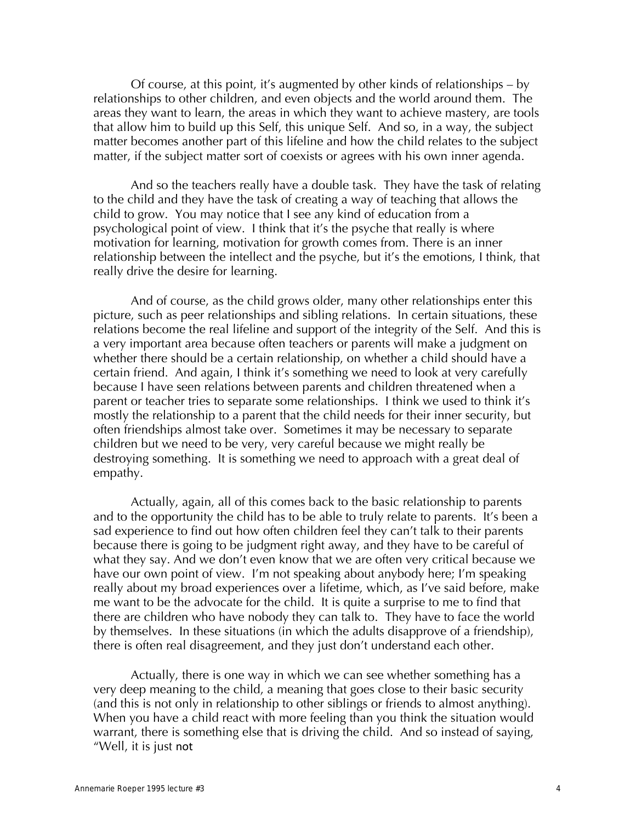Of course, at this point, it's augmented by other kinds of relationships – by relationships to other children, and even objects and the world around them. The areas they want to learn, the areas in which they want to achieve mastery, are tools that allow him to build up this Self, this unique Self. And so, in a way, the subject matter becomes another part of this lifeline and how the child relates to the subject matter, if the subject matter sort of coexists or agrees with his own inner agenda.

And so the teachers really have a double task. They have the task of relating to the child and they have the task of creating a way of teaching that allows the child to grow. You may notice that I see any kind of education from a psychological point of view. I think that it's the psyche that really is where motivation for learning, motivation for growth comes from. There is an inner relationship between the intellect and the psyche, but it's the emotions, I think, that really drive the desire for learning.

And of course, as the child grows older, many other relationships enter this picture, such as peer relationships and sibling relations. In certain situations, these relations become the real lifeline and support of the integrity of the Self. And this is a very important area because often teachers or parents will make a judgment on whether there should be a certain relationship, on whether a child should have a certain friend. And again, I think it's something we need to look at very carefully because I have seen relations between parents and children threatened when a parent or teacher tries to separate some relationships. I think we used to think it's mostly the relationship to a parent that the child needs for their inner security, but often friendships almost take over. Sometimes it may be necessary to separate children but we need to be very, very careful because we might really be destroying something. It is something we need to approach with a great deal of empathy.

Actually, again, all of this comes back to the basic relationship to parents and to the opportunity the child has to be able to truly relate to parents. It's been a sad experience to find out how often children feel they can't talk to their parents because there is going to be judgment right away, and they have to be careful of what they say. And we don't even know that we are often very critical because we have our own point of view. I'm not speaking about anybody here; I'm speaking really about my broad experiences over a lifetime, which, as I've said before, make me want to be the advocate for the child. It is quite a surprise to me to find that there are children who have nobody they can talk to. They have to face the world by themselves. In these situations (in which the adults disapprove of a friendship), there is often real disagreement, and they just don't understand each other.

Actually, there is one way in which we can see whether something has a very deep meaning to the child, a meaning that goes close to their basic security (and this is not only in relationship to other siblings or friends to almost anything). When you have a child react with more feeling than you think the situation would warrant, there is something else that is driving the child. And so instead of saying, "Well, it is just not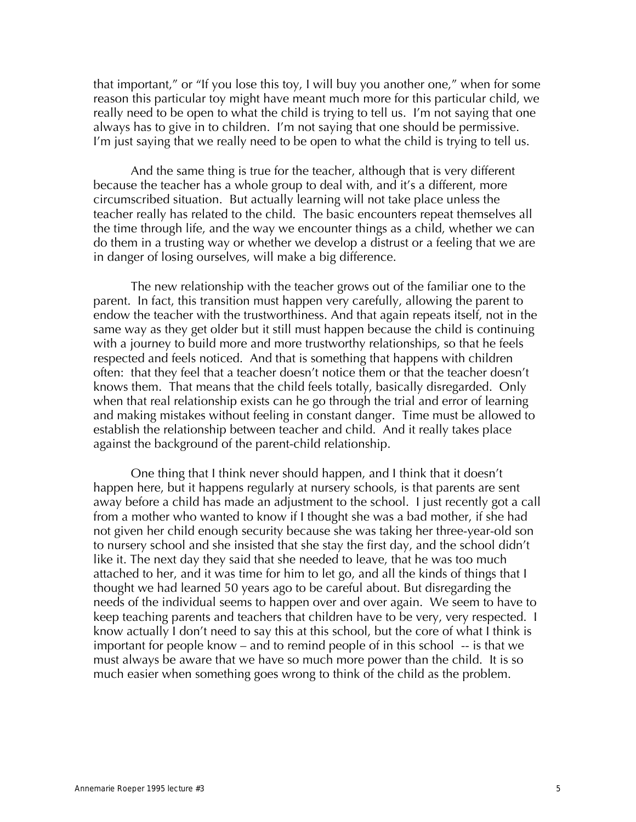that important," or "If you lose this toy, I will buy you another one," when for some reason this particular toy might have meant much more for this particular child, we really need to be open to what the child is trying to tell us. I'm not saying that one always has to give in to children. I'm not saying that one should be permissive. I'm just saying that we really need to be open to what the child is trying to tell us.

And the same thing is true for the teacher, although that is very different because the teacher has a whole group to deal with, and it's a different, more circumscribed situation. But actually learning will not take place unless the teacher really has related to the child. The basic encounters repeat themselves all the time through life, and the way we encounter things as a child, whether we can do them in a trusting way or whether we develop a distrust or a feeling that we are in danger of losing ourselves, will make a big difference.

The new relationship with the teacher grows out of the familiar one to the parent. In fact, this transition must happen very carefully, allowing the parent to endow the teacher with the trustworthiness. And that again repeats itself, not in the same way as they get older but it still must happen because the child is continuing with a journey to build more and more trustworthy relationships, so that he feels respected and feels noticed. And that is something that happens with children often: that they feel that a teacher doesn't notice them or that the teacher doesn't knows them. That means that the child feels totally, basically disregarded. Only when that real relationship exists can he go through the trial and error of learning and making mistakes without feeling in constant danger. Time must be allowed to establish the relationship between teacher and child. And it really takes place against the background of the parent-child relationship.

One thing that I think never should happen, and I think that it doesn't happen here, but it happens regularly at nursery schools, is that parents are sent away before a child has made an adjustment to the school. I just recently got a call from a mother who wanted to know if I thought she was a bad mother, if she had not given her child enough security because she was taking her three-year-old son to nursery school and she insisted that she stay the first day, and the school didn't like it. The next day they said that she needed to leave, that he was too much attached to her, and it was time for him to let go, and all the kinds of things that I thought we had learned 50 years ago to be careful about. But disregarding the needs of the individual seems to happen over and over again. We seem to have to keep teaching parents and teachers that children have to be very, very respected. I know actually I don't need to say this at this school, but the core of what I think is important for people know – and to remind people of in this school -- is that we must always be aware that we have so much more power than the child. It is so much easier when something goes wrong to think of the child as the problem.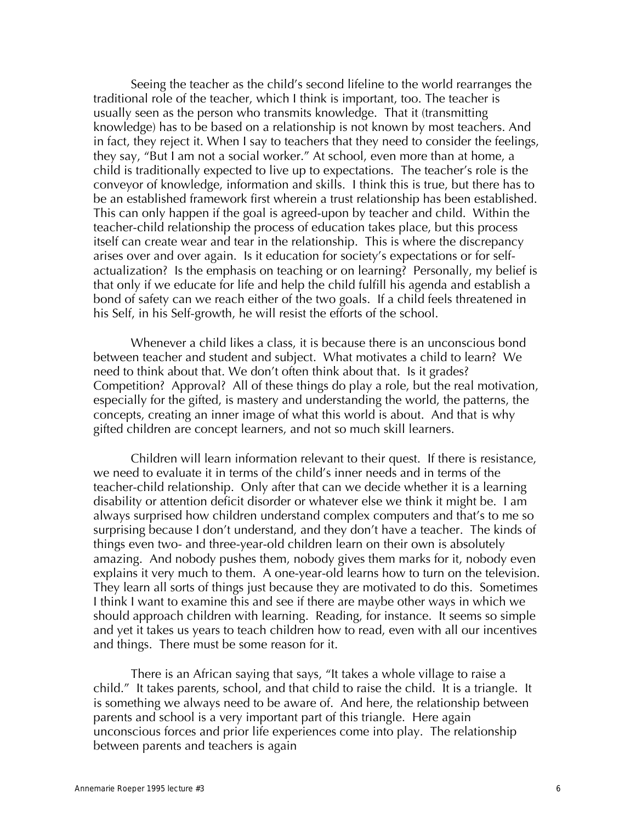Seeing the teacher as the child's second lifeline to the world rearranges the traditional role of the teacher, which I think is important, too. The teacher is usually seen as the person who transmits knowledge. That it (transmitting knowledge) has to be based on a relationship is not known by most teachers. And in fact, they reject it. When I say to teachers that they need to consider the feelings, they say, "But I am not a social worker." At school, even more than at home, a child is traditionally expected to live up to expectations. The teacher's role is the conveyor of knowledge, information and skills. I think this is true, but there has to be an established framework first wherein a trust relationship has been established. This can only happen if the goal is agreed-upon by teacher and child. Within the teacher-child relationship the process of education takes place, but this process itself can create wear and tear in the relationship. This is where the discrepancy arises over and over again. Is it education for society's expectations or for selfactualization? Is the emphasis on teaching or on learning? Personally, my belief is that only if we educate for life and help the child fulfill his agenda and establish a bond of safety can we reach either of the two goals. If a child feels threatened in his Self, in his Self-growth, he will resist the efforts of the school.

Whenever a child likes a class, it is because there is an unconscious bond between teacher and student and subject. What motivates a child to learn? We need to think about that. We don't often think about that. Is it grades? Competition? Approval? All of these things do play a role, but the real motivation, especially for the gifted, is mastery and understanding the world, the patterns, the concepts, creating an inner image of what this world is about. And that is why gifted children are concept learners, and not so much skill learners.

Children will learn information relevant to their quest. If there is resistance, we need to evaluate it in terms of the child's inner needs and in terms of the teacher-child relationship. Only after that can we decide whether it is a learning disability or attention deficit disorder or whatever else we think it might be. I am always surprised how children understand complex computers and that's to me so surprising because I don't understand, and they don't have a teacher. The kinds of things even two- and three-year-old children learn on their own is absolutely amazing. And nobody pushes them, nobody gives them marks for it, nobody even explains it very much to them. A one-year-old learns how to turn on the television. They learn all sorts of things just because they are motivated to do this. Sometimes I think I want to examine this and see if there are maybe other ways in which we should approach children with learning. Reading, for instance. It seems so simple and yet it takes us years to teach children how to read, even with all our incentives and things. There must be some reason for it.

There is an African saying that says, "It takes a whole village to raise a child." It takes parents, school, and that child to raise the child. It is a triangle. It is something we always need to be aware of. And here, the relationship between parents and school is a very important part of this triangle. Here again unconscious forces and prior life experiences come into play. The relationship between parents and teachers is again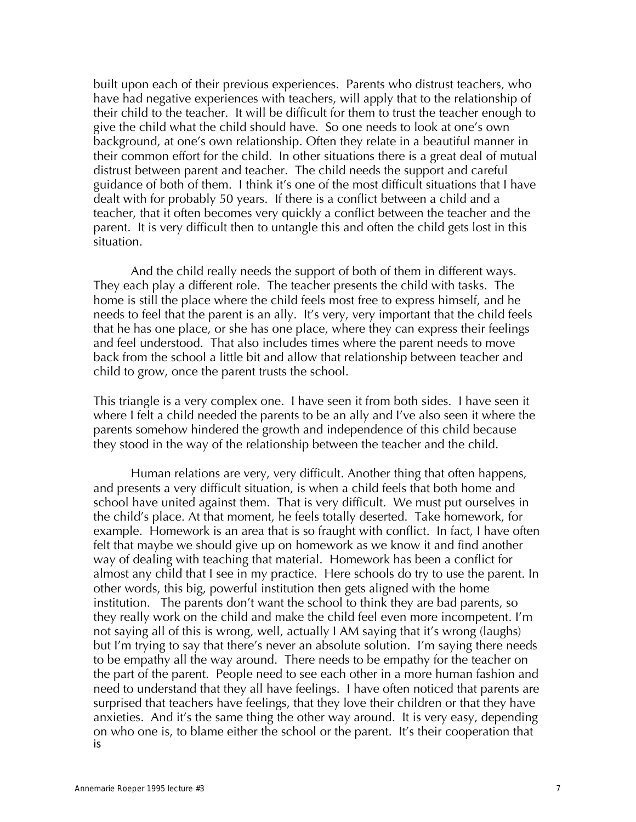built upon each of their previous experiences. Parents who distrust teachers, who have had negative experiences with teachers, will apply that to the relationship of their child to the teacher. It will be difficult for them to trust the teacher enough to give the child what the child should have. So one needs to look at one's own background, at one's own relationship. Often they relate in a beautiful manner in their common effort for the child. In other situations there is a great deal of mutual distrust between parent and teacher. The child needs the support and careful guidance of both of them. I think it's one of the most difficult situations that I have dealt with for probably 50 years. If there is a conflict between a child and a teacher, that it often becomes very quickly a conflict between the teacher and the parent. It is very difficult then to untangle this and often the child gets lost in this situation.

And the child really needs the support of both of them in different ways. They each play a different role. The teacher presents the child with tasks. The home is still the place where the child feels most free to express himself, and he needs to feel that the parent is an ally. It's very, very important that the child feels that he has one place, or she has one place, where they can express their feelings and feel understood. That also includes times where the parent needs to move back from the school a little bit and allow that relationship between teacher and child to grow, once the parent trusts the school.

This triangle is a very complex one. I have seen it from both sides. I have seen it where I felt a child needed the parents to be an ally and I've also seen it where the parents somehow hindered the growth and independence of this child because they stood in the way of the relationship between the teacher and the child.

Human relations are very, very difficult. Another thing that often happens, and presents a very difficult situation, is when a child feels that both home and school have united against them. That is very difficult. We must put ourselves in the child's place. At that moment, he feels totally deserted. Take homework, for example. Homework is an area that is so fraught with conflict. In fact, I have often felt that maybe we should give up on homework as we know it and find another way of dealing with teaching that material. Homework has been a conflict for almost any child that I see in my practice. Here schools do try to use the parent. In other words, this big, powerful institution then gets aligned with the home institution. The parents don't want the school to think they are bad parents, so they really work on the child and make the child feel even more incompetent. I'm not saying all of this is wrong, well, actually I AM saying that it's wrong (laughs) but I'm trying to say that there's never an absolute solution. I'm saying there needs to be empathy all the way around. There needs to be empathy for the teacher on the part of the parent. People need to see each other in a more human fashion and need to understand that they all have feelings. I have often noticed that parents are surprised that teachers have feelings, that they love their children or that they have anxieties. And it's the same thing the other way around. It is very easy, depending on who one is, to blame either the school or the parent. It's their cooperation that is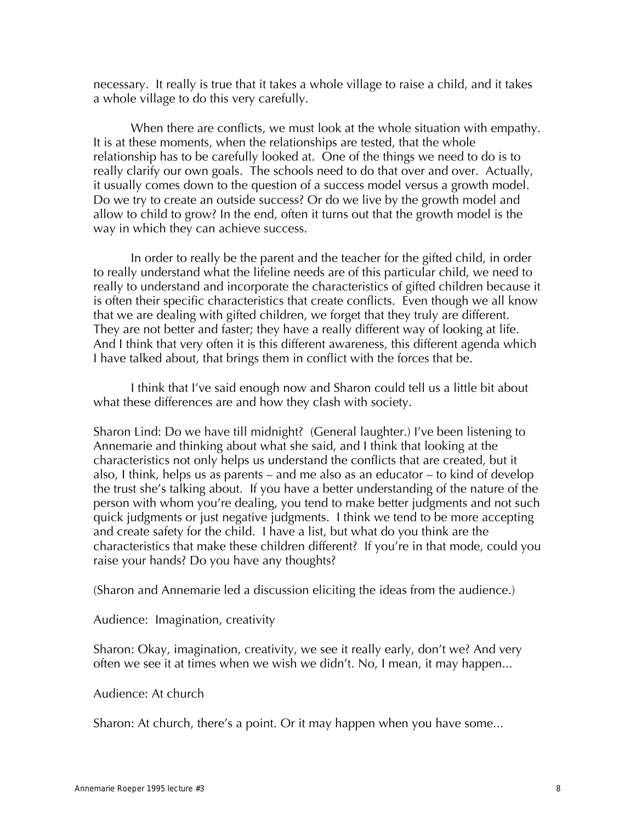necessary. It really is true that it takes a whole village to raise a child, and it takes a whole village to do this very carefully.

When there are conflicts, we must look at the whole situation with empathy. It is at these moments, when the relationships are tested, that the whole relationship has to be carefully looked at. One of the things we need to do is to really clarify our own goals. The schools need to do that over and over. Actually, it usually comes down to the question of a success model versus a growth model. Do we try to create an outside success? Or do we live by the growth model and allow to child to grow? In the end, often it turns out that the growth model is the way in which they can achieve success.

In order to really be the parent and the teacher for the gifted child, in order to really understand what the lifeline needs are of this particular child, we need to really to understand and incorporate the characteristics of gifted children because it is often their specific characteristics that create conflicts. Even though we all know that we are dealing with gifted children, we forget that they truly are different. They are not better and faster; they have a really different way of looking at life. And I think that very often it is this different awareness, this different agenda which I have talked about, that brings them in conflict with the forces that be.

I think that I've said enough now and Sharon could tell us a little bit about what these differences are and how they clash with society.

Sharon Lind: Do we have till midnight? (General laughter.) I've been listening to Annemarie and thinking about what she said, and I think that looking at the characteristics not only helps us understand the conflicts that are created, but it also, I think, helps us as parents – and me also as an educator – to kind of develop the trust she's talking about. If you have a better understanding of the nature of the person with whom you're dealing, you tend to make better judgments and not such quick judgments or just negative judgments. I think we tend to be more accepting and create safety for the child. I have a list, but what do you think are the characteristics that make these children different? If you're in that mode, could you raise your hands? Do you have any thoughts?

(Sharon and Annemarie led a discussion eliciting the ideas from the audience.)

Audience: Imagination, creativity

Sharon: Okay, imagination, creativity, we see it really early, don't we? And very often we see it at times when we wish we didn't. No, I mean, it may happen...

#### Audience: At church

Sharon: At church, there's a point. Or it may happen when you have some...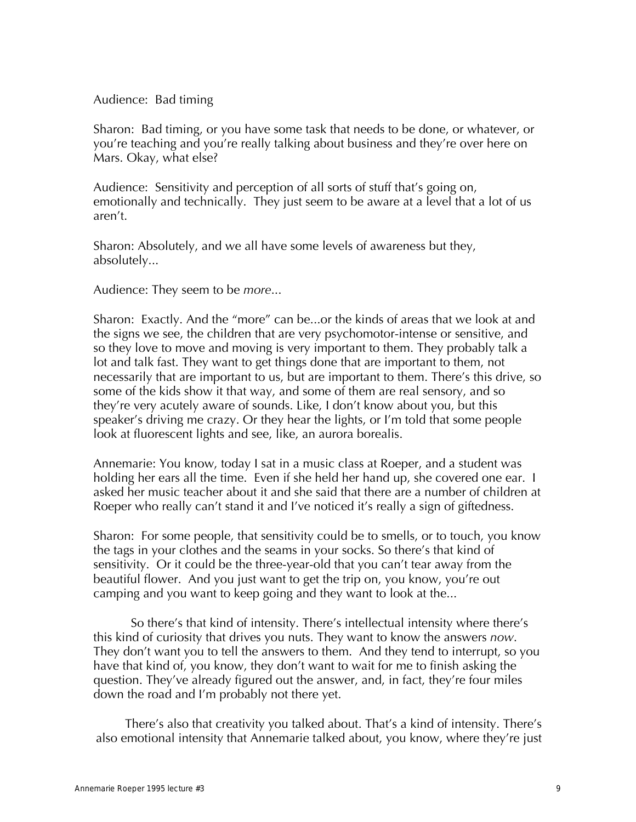## Audience: Bad timing

Sharon: Bad timing, or you have some task that needs to be done, or whatever, or you're teaching and you're really talking about business and they're over here on Mars. Okay, what else?

Audience: Sensitivity and perception of all sorts of stuff that's going on, emotionally and technically. They just seem to be aware at a level that a lot of us aren't.

Sharon: Absolutely, and we all have some levels of awareness but they, absolutely...

Audience: They seem to be *more*...

Sharon: Exactly. And the "more" can be...or the kinds of areas that we look at and the signs we see, the children that are very psychomotor-intense or sensitive, and so they love to move and moving is very important to them. They probably talk a lot and talk fast. They want to get things done that are important to them, not necessarily that are important to us, but are important to them. There's this drive, so some of the kids show it that way, and some of them are real sensory, and so they're very acutely aware of sounds. Like, I don't know about you, but this speaker's driving me crazy. Or they hear the lights, or I'm told that some people look at fluorescent lights and see, like, an aurora borealis.

Annemarie: You know, today I sat in a music class at Roeper, and a student was holding her ears all the time. Even if she held her hand up, she covered one ear. I asked her music teacher about it and she said that there are a number of children at Roeper who really can't stand it and I've noticed it's really a sign of giftedness.

Sharon: For some people, that sensitivity could be to smells, or to touch, you know the tags in your clothes and the seams in your socks. So there's that kind of sensitivity. Or it could be the three-year-old that you can't tear away from the beautiful flower. And you just want to get the trip on, you know, you're out camping and you want to keep going and they want to look at the...

So there's that kind of intensity. There's intellectual intensity where there's this kind of curiosity that drives you nuts. They want to know the answers *now*. They don't want you to tell the answers to them. And they tend to interrupt, so you have that kind of, you know, they don't want to wait for me to finish asking the question. They've already figured out the answer, and, in fact, they're four miles down the road and I'm probably not there yet.

There's also that creativity you talked about. That's a kind of intensity. There's also emotional intensity that Annemarie talked about, you know, where they're just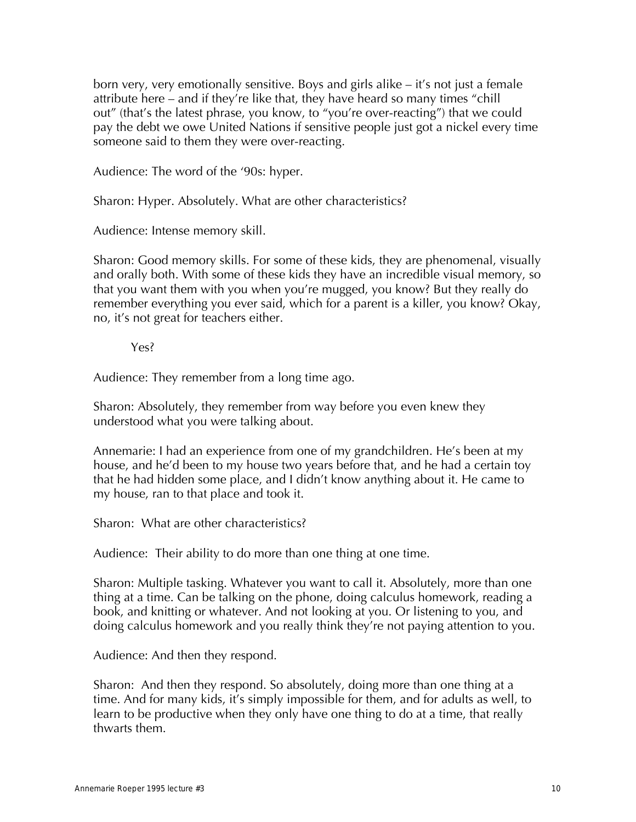born very, very emotionally sensitive. Boys and girls alike – it's not just a female attribute here – and if they're like that, they have heard so many times "chill out" (that's the latest phrase, you know, to "you're over-reacting") that we could pay the debt we owe United Nations if sensitive people just got a nickel every time someone said to them they were over-reacting.

Audience: The word of the '90s: hyper.

Sharon: Hyper. Absolutely. What are other characteristics?

Audience: Intense memory skill.

Sharon: Good memory skills. For some of these kids, they are phenomenal, visually and orally both. With some of these kids they have an incredible visual memory, so that you want them with you when you're mugged, you know? But they really do remember everything you ever said, which for a parent is a killer, you know? Okay, no, it's not great for teachers either.

Yes?

Audience: They remember from a long time ago.

Sharon: Absolutely, they remember from way before you even knew they understood what you were talking about.

Annemarie: I had an experience from one of my grandchildren. He's been at my house, and he'd been to my house two years before that, and he had a certain toy that he had hidden some place, and I didn't know anything about it. He came to my house, ran to that place and took it.

Sharon: What are other characteristics?

Audience: Their ability to do more than one thing at one time.

Sharon: Multiple tasking. Whatever you want to call it. Absolutely, more than one thing at a time. Can be talking on the phone, doing calculus homework, reading a book, and knitting or whatever. And not looking at you. Or listening to you, and doing calculus homework and you really think they're not paying attention to you.

Audience: And then they respond.

Sharon: And then they respond. So absolutely, doing more than one thing at a time. And for many kids, it's simply impossible for them, and for adults as well, to learn to be productive when they only have one thing to do at a time, that really thwarts them.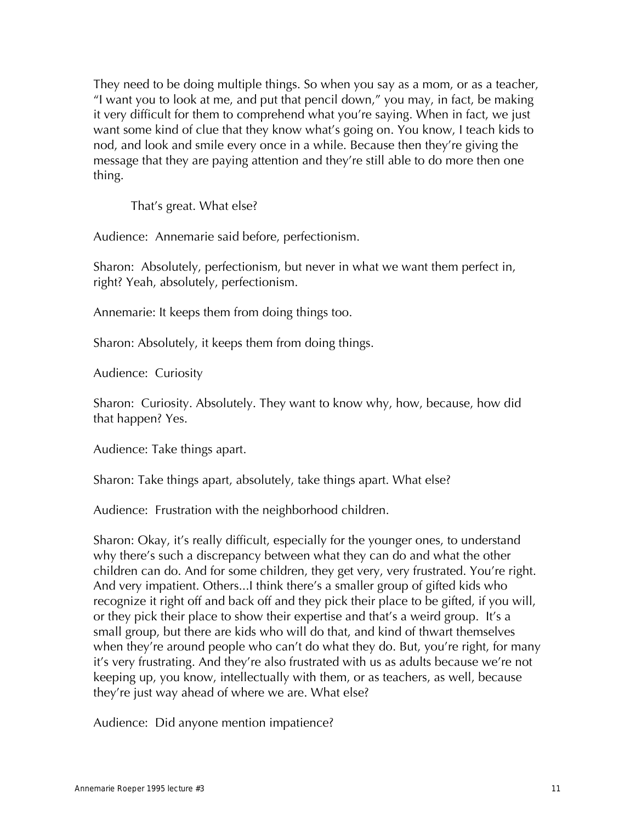They need to be doing multiple things. So when you say as a mom, or as a teacher, "I want you to look at me, and put that pencil down," you may, in fact, be making it very difficult for them to comprehend what you're saying. When in fact, we just want some kind of clue that they know what's going on. You know, I teach kids to nod, and look and smile every once in a while. Because then they're giving the message that they are paying attention and they're still able to do more then one thing.

That's great. What else?

Audience: Annemarie said before, perfectionism.

Sharon: Absolutely, perfectionism, but never in what we want them perfect in, right? Yeah, absolutely, perfectionism.

Annemarie: It keeps them from doing things too.

Sharon: Absolutely, it keeps them from doing things.

Audience: Curiosity

Sharon: Curiosity. Absolutely. They want to know why, how, because, how did that happen? Yes.

Audience: Take things apart.

Sharon: Take things apart, absolutely, take things apart. What else?

Audience: Frustration with the neighborhood children.

Sharon: Okay, it's really difficult, especially for the younger ones, to understand why there's such a discrepancy between what they can do and what the other children can do. And for some children, they get very, very frustrated. You're right. And very impatient. Others...I think there's a smaller group of gifted kids who recognize it right off and back off and they pick their place to be gifted, if you will, or they pick their place to show their expertise and that's a weird group. It's a small group, but there are kids who will do that, and kind of thwart themselves when they're around people who can't do what they do. But, you're right, for many it's very frustrating. And they're also frustrated with us as adults because we're not keeping up, you know, intellectually with them, or as teachers, as well, because they're just way ahead of where we are. What else?

Audience: Did anyone mention impatience?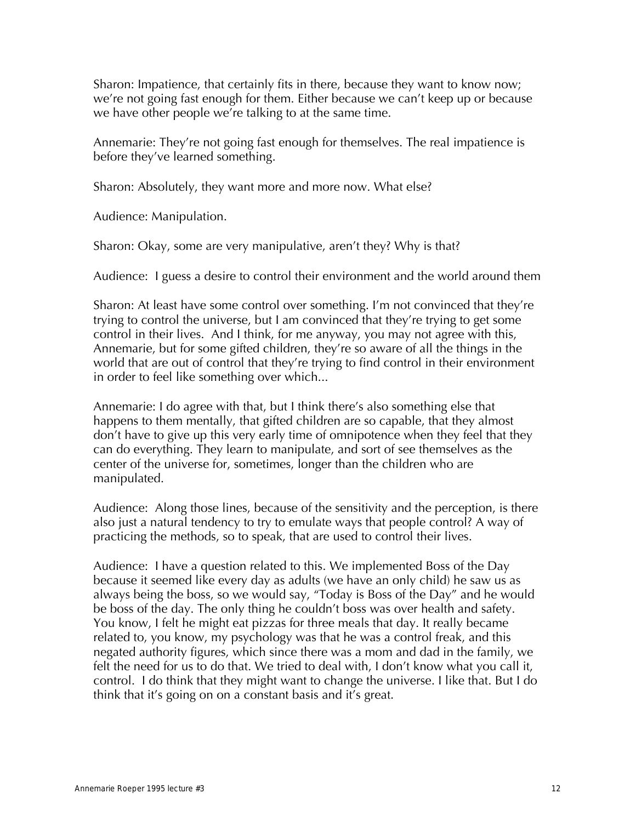Sharon: Impatience, that certainly fits in there, because they want to know now; we're not going fast enough for them. Either because we can't keep up or because we have other people we're talking to at the same time.

Annemarie: They're not going fast enough for themselves. The real impatience is before they've learned something.

Sharon: Absolutely, they want more and more now. What else?

Audience: Manipulation.

Sharon: Okay, some are very manipulative, aren't they? Why is that?

Audience: I guess a desire to control their environment and the world around them

Sharon: At least have some control over something. I'm not convinced that they're trying to control the universe, but I am convinced that they're trying to get some control in their lives. And I think, for me anyway, you may not agree with this, Annemarie, but for some gifted children, they're so aware of all the things in the world that are out of control that they're trying to find control in their environment in order to feel like something over which...

Annemarie: I do agree with that, but I think there's also something else that happens to them mentally, that gifted children are so capable, that they almost don't have to give up this very early time of omnipotence when they feel that they can do everything. They learn to manipulate, and sort of see themselves as the center of the universe for, sometimes, longer than the children who are manipulated.

Audience: Along those lines, because of the sensitivity and the perception, is there also just a natural tendency to try to emulate ways that people control? A way of practicing the methods, so to speak, that are used to control their lives.

Audience: I have a question related to this. We implemented Boss of the Day because it seemed like every day as adults (we have an only child) he saw us as always being the boss, so we would say, "Today is Boss of the Day" and he would be boss of the day. The only thing he couldn't boss was over health and safety. You know, I felt he might eat pizzas for three meals that day. It really became related to, you know, my psychology was that he was a control freak, and this negated authority figures, which since there was a mom and dad in the family, we felt the need for us to do that. We tried to deal with, I don't know what you call it, control. I do think that they might want to change the universe. I like that. But I do think that it's going on on a constant basis and it's great.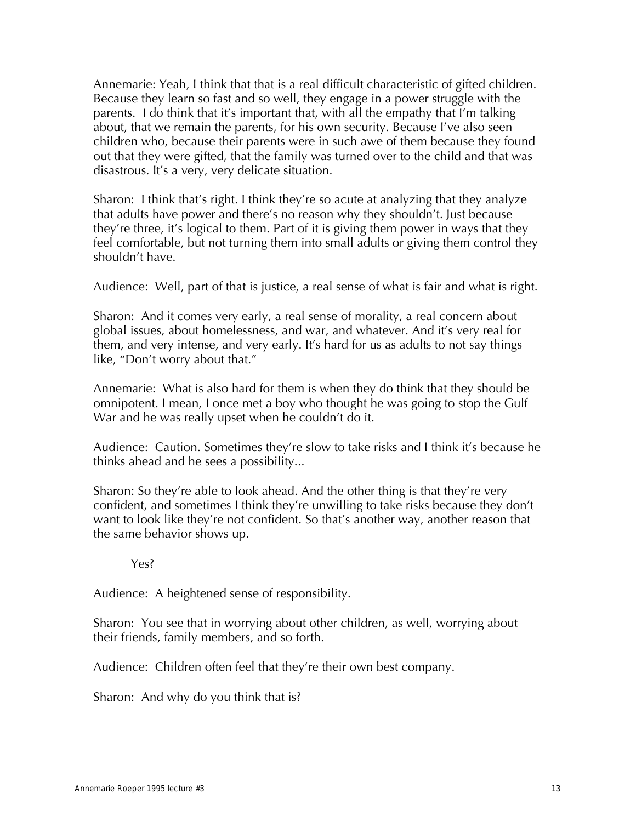Annemarie: Yeah, I think that that is a real difficult characteristic of gifted children. Because they learn so fast and so well, they engage in a power struggle with the parents. I do think that it's important that, with all the empathy that I'm talking about, that we remain the parents, for his own security. Because I've also seen children who, because their parents were in such awe of them because they found out that they were gifted, that the family was turned over to the child and that was disastrous. It's a very, very delicate situation.

Sharon: I think that's right. I think they're so acute at analyzing that they analyze that adults have power and there's no reason why they shouldn't. Just because they're three, it's logical to them. Part of it is giving them power in ways that they feel comfortable, but not turning them into small adults or giving them control they shouldn't have.

Audience: Well, part of that is justice, a real sense of what is fair and what is right.

Sharon: And it comes very early, a real sense of morality, a real concern about global issues, about homelessness, and war, and whatever. And it's very real for them, and very intense, and very early. It's hard for us as adults to not say things like, "Don't worry about that."

Annemarie: What is also hard for them is when they do think that they should be omnipotent. I mean, I once met a boy who thought he was going to stop the Gulf War and he was really upset when he couldn't do it.

Audience: Caution. Sometimes they're slow to take risks and I think it's because he thinks ahead and he sees a possibility...

Sharon: So they're able to look ahead. And the other thing is that they're very confident, and sometimes I think they're unwilling to take risks because they don't want to look like they're not confident. So that's another way, another reason that the same behavior shows up.

Yes?

Audience: A heightened sense of responsibility.

Sharon: You see that in worrying about other children, as well, worrying about their friends, family members, and so forth.

Audience: Children often feel that they're their own best company.

Sharon: And why do you think that is?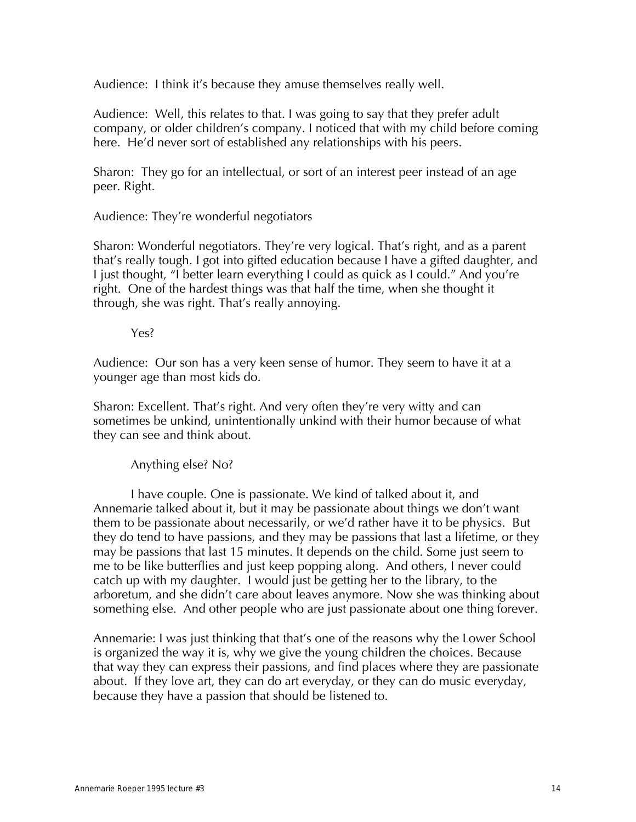Audience: I think it's because they amuse themselves really well.

Audience: Well, this relates to that. I was going to say that they prefer adult company, or older children's company. I noticed that with my child before coming here. He'd never sort of established any relationships with his peers.

Sharon: They go for an intellectual, or sort of an interest peer instead of an age peer. Right.

Audience: They're wonderful negotiators

Sharon: Wonderful negotiators. They're very logical. That's right, and as a parent that's really tough. I got into gifted education because I have a gifted daughter, and I just thought, "I better learn everything I could as quick as I could." And you're right. One of the hardest things was that half the time, when she thought it through, she was right. That's really annoying.

Yes?

Audience: Our son has a very keen sense of humor. They seem to have it at a younger age than most kids do.

Sharon: Excellent. That's right. And very often they're very witty and can sometimes be unkind, unintentionally unkind with their humor because of what they can see and think about.

Anything else? No?

I have couple. One is passionate. We kind of talked about it, and Annemarie talked about it, but it may be passionate about things we don't want them to be passionate about necessarily, or we'd rather have it to be physics. But they do tend to have passions, and they may be passions that last a lifetime, or they may be passions that last 15 minutes. It depends on the child. Some just seem to me to be like butterflies and just keep popping along. And others, I never could catch up with my daughter. I would just be getting her to the library, to the arboretum, and she didn't care about leaves anymore. Now she was thinking about something else. And other people who are just passionate about one thing forever.

Annemarie: I was just thinking that that's one of the reasons why the Lower School is organized the way it is, why we give the young children the choices. Because that way they can express their passions, and find places where they are passionate about. If they love art, they can do art everyday, or they can do music everyday, because they have a passion that should be listened to.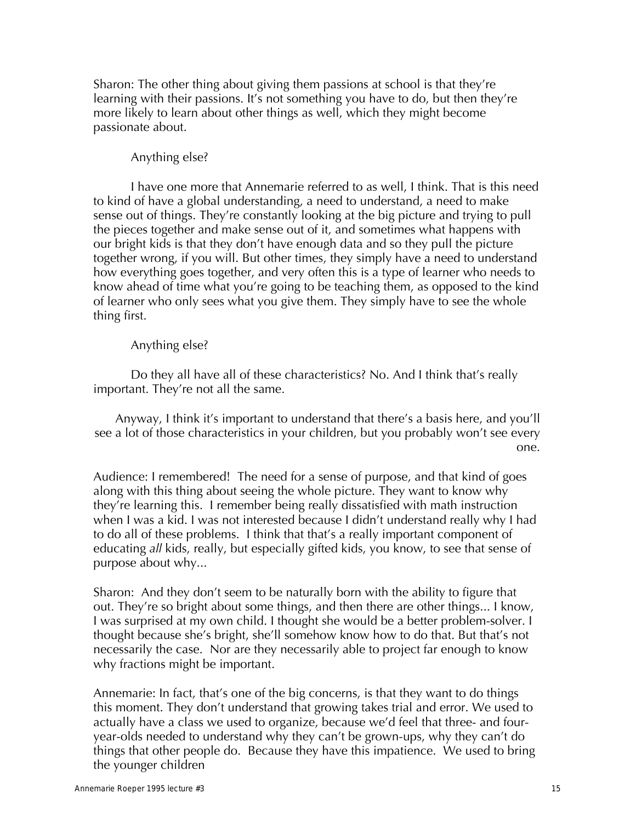Sharon: The other thing about giving them passions at school is that they're learning with their passions. It's not something you have to do, but then they're more likely to learn about other things as well, which they might become passionate about.

### Anything else?

I have one more that Annemarie referred to as well, I think. That is this need to kind of have a global understanding, a need to understand, a need to make sense out of things. They're constantly looking at the big picture and trying to pull the pieces together and make sense out of it, and sometimes what happens with our bright kids is that they don't have enough data and so they pull the picture together wrong, if you will. But other times, they simply have a need to understand how everything goes together, and very often this is a type of learner who needs to know ahead of time what you're going to be teaching them, as opposed to the kind of learner who only sees what you give them. They simply have to see the whole thing first.

### Anything else?

Do they all have all of these characteristics? No. And I think that's really important. They're not all the same.

Anyway, I think it's important to understand that there's a basis here, and you'll see a lot of those characteristics in your children, but you probably won't see every one.

Audience: I remembered! The need for a sense of purpose, and that kind of goes along with this thing about seeing the whole picture. They want to know why they're learning this. I remember being really dissatisfied with math instruction when I was a kid. I was not interested because I didn't understand really why I had to do all of these problems. I think that that's a really important component of educating *all* kids, really, but especially gifted kids, you know, to see that sense of purpose about why...

Sharon: And they don't seem to be naturally born with the ability to figure that out. They're so bright about some things, and then there are other things... I know, I was surprised at my own child. I thought she would be a better problem-solver. I thought because she's bright, she'll somehow know how to do that. But that's not necessarily the case. Nor are they necessarily able to project far enough to know why fractions might be important.

Annemarie: In fact, that's one of the big concerns, is that they want to do things this moment. They don't understand that growing takes trial and error. We used to actually have a class we used to organize, because we'd feel that three- and fouryear-olds needed to understand why they can't be grown-ups, why they can't do things that other people do. Because they have this impatience. We used to bring the younger children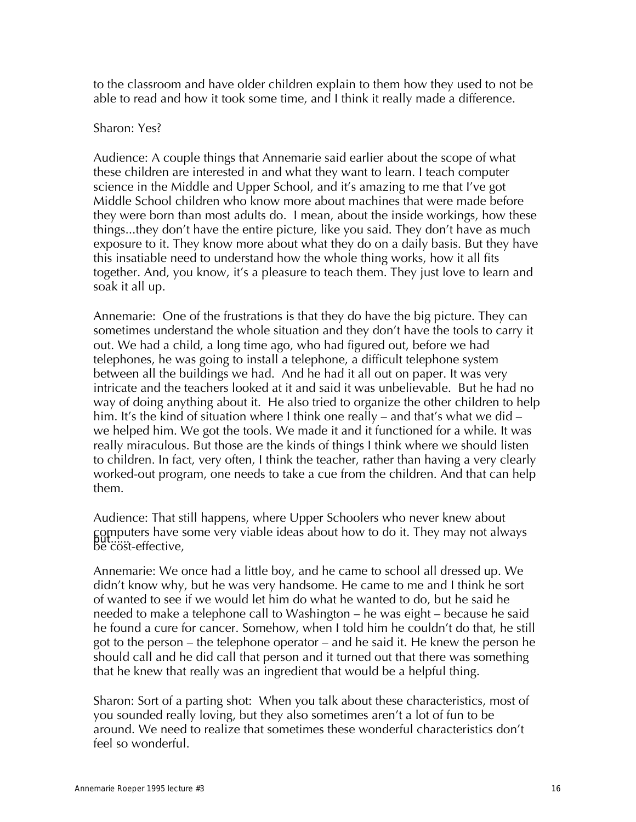to the classroom and have older children explain to them how they used to not be able to read and how it took some time, and I think it really made a difference.

### Sharon: Yes?

Audience: A couple things that Annemarie said earlier about the scope of what these children are interested in and what they want to learn. I teach computer science in the Middle and Upper School, and it's amazing to me that I've got Middle School children who know more about machines that were made before they were born than most adults do. I mean, about the inside workings, how these things...they don't have the entire picture, like you said. They don't have as much exposure to it. They know more about what they do on a daily basis. But they have this insatiable need to understand how the whole thing works, how it all fits together. And, you know, it's a pleasure to teach them. They just love to learn and soak it all up.

Annemarie: One of the frustrations is that they do have the big picture. They can sometimes understand the whole situation and they don't have the tools to carry it out. We had a child, a long time ago, who had figured out, before we had telephones, he was going to install a telephone, a difficult telephone system between all the buildings we had. And he had it all out on paper. It was very intricate and the teachers looked at it and said it was unbelievable. But he had no way of doing anything about it. He also tried to organize the other children to help him. It's the kind of situation where I think one really – and that's what we did – we helped him. We got the tools. We made it and it functioned for a while. It was really miraculous. But those are the kinds of things I think where we should listen to children. In fact, very often, I think the teacher, rather than having a very clearly worked-out program, one needs to take a cue from the children. And that can help them.

Audience: That still happens, where Upper Schoolers who never knew about computers have some very viable ideas about how to do it. They may not always<br>be cost-effective,

Annemarie: We once had a little boy, and he came to school all dressed up. We didn't know why, but he was very handsome. He came to me and I think he sort of wanted to see if we would let him do what he wanted to do, but he said he needed to make a telephone call to Washington – he was eight – because he said he found a cure for cancer. Somehow, when I told him he couldn't do that, he still got to the person – the telephone operator – and he said it. He knew the person he should call and he did call that person and it turned out that there was something that he knew that really was an ingredient that would be a helpful thing.

Sharon: Sort of a parting shot: When you talk about these characteristics, most of you sounded really loving, but they also sometimes aren't a lot of fun to be around. We need to realize that sometimes these wonderful characteristics don't feel so wonderful.